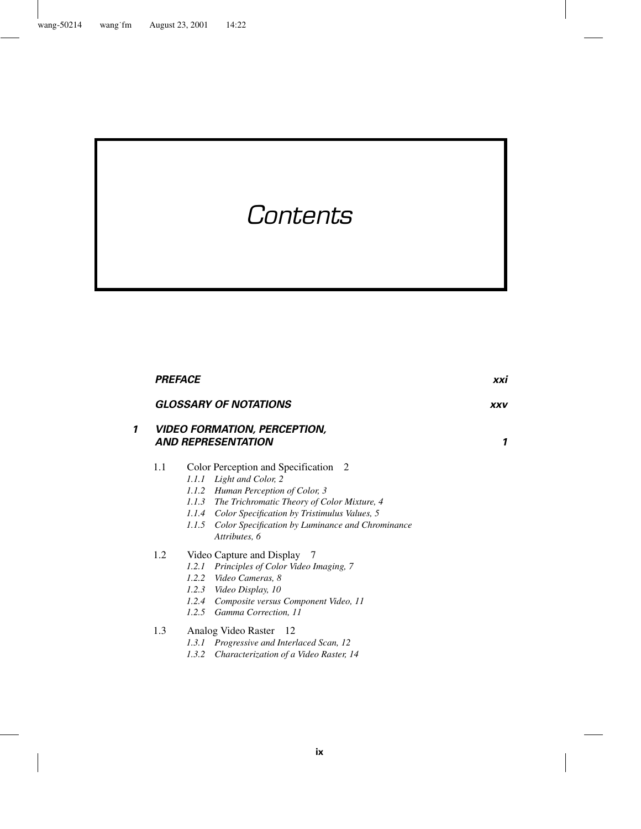# *Contents*

|   | <b>PREFACE</b>               |                                                                                                                                                                                                                                                                                                    |   |
|---|------------------------------|----------------------------------------------------------------------------------------------------------------------------------------------------------------------------------------------------------------------------------------------------------------------------------------------------|---|
|   | <b>GLOSSARY OF NOTATIONS</b> | <b>XXV</b>                                                                                                                                                                                                                                                                                         |   |
| 1 |                              | <b>VIDEO FORMATION, PERCEPTION,</b><br><b>AND REPRESENTATION</b>                                                                                                                                                                                                                                   | 1 |
|   | 1.1                          | Color Perception and Specification 2<br>Light and Color, 2<br>1.1.1<br>1.1.2 Human Perception of Color, 3<br>1.1.3 The Trichromatic Theory of Color Mixture, 4<br>1.1.4 Color Specification by Tristimulus Values, 5<br>Color Specification by Luminance and Chrominance<br>1.1.5<br>Attributes, 6 |   |
|   | 1.2                          | Video Capture and Display 7<br>Principles of Color Video Imaging, 7<br>1.2.1<br>1.2.2 Video Cameras, 8<br>Video Display, 10<br>1.2.3<br>1.2.4 Composite versus Component Video, 11<br>1.2.5 Gamma Correction, 11                                                                                   |   |
|   | 1.3                          | Analog Video Raster 12<br>1.3.1 Progressive and Interlaced Scan, 12                                                                                                                                                                                                                                |   |

| 1.3.2 Characterization of a Video Raster, 14 |  |  |  |  |  |  |
|----------------------------------------------|--|--|--|--|--|--|
|----------------------------------------------|--|--|--|--|--|--|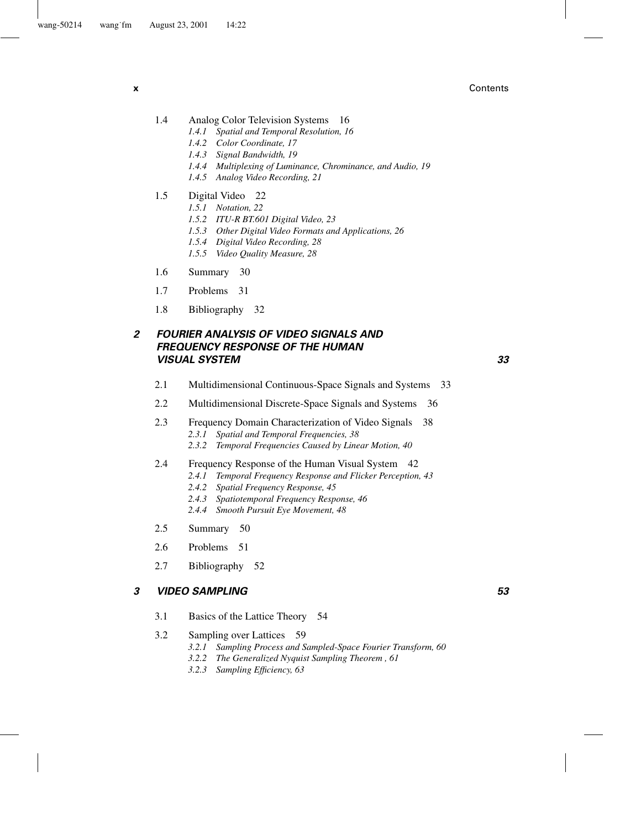**x** Contents

- 1.4 Analog Color Television Systems 16
	- *1.4.1 Spatial and Temporal Resolution, 16*
		- *1.4.2 Color Coordinate, 17*
		- *1.4.3 Signal Bandwidth, 19*
		- *1.4.4 Multiplexing of Luminance, Chrominance, and Audio, 19*
		- *1.4.5 Analog Video Recording, 21*
- 1.5 Digital Video 22
	- *1.5.1 Notation, 22*
	- *1.5.2 ITU-R BT.601 Digital Video, 23*
	- *1.5.3 Other Digital Video Formats and Applications, 26*
	- *1.5.4 Digital Video Recording, 28*
	- *1.5.5 Video Quality Measure, 28*
- 1.6 Summary 30
- 1.7 Problems 31
- 1.8 Bibliography 32

# *2 FOURIER ANALYSIS OF VIDEO SIGNALS AND FREQUENCY RESPONSE OF THE HUMAN VISUAL SYSTEM 33*

- 2.1 Multidimensional Continuous-Space Signals and Systems 33
- 2.2 Multidimensional Discrete-Space Signals and Systems 36
- 2.3 Frequency Domain Characterization of Video Signals 38 *2.3.1 Spatial and Temporal Frequencies, 38*
	- *2.3.2 Temporal Frequencies Caused by Linear Motion, 40*
- 2.4 Frequency Response of the Human Visual System 42
	- *2.4.1 Temporal Frequency Response and Flicker Perception, 43*
	- *2.4.2 Spatial Frequency Response, 45*
	- *2.4.3 Spatiotemporal Frequency Response, 46*
	- *2.4.4 Smooth Pursuit Eye Movement, 48*
- 2.5 Summary 50
- 2.6 Problems 51
- 2.7 Bibliography 52

#### *3 VIDEO SAMPLING 53*

- 3.1 Basics of the Lattice Theory 54
- 3.2 Sampling over Lattices 59
	- *3.2.1 Sampling Process and Sampled-Space Fourier Transform, 60*
	- *3.2.2 The Generalized Nyquist Sampling Theorem , 61*
	- *3.2.3 Sampling Efficiency, 63*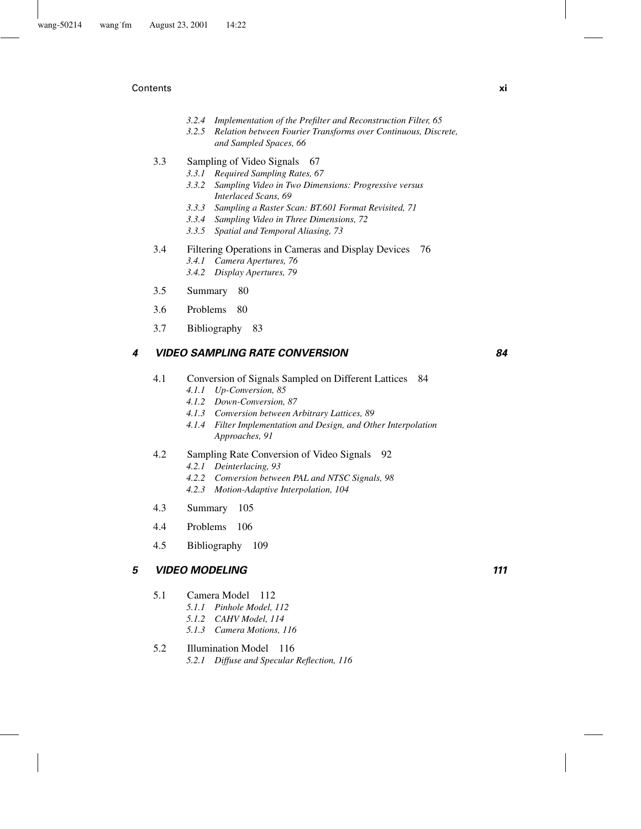#### Contents **xi**

- *3.2.4 Implementation of the Prefilter and Reconstruction Filter, 65*
- *3.2.5 Relation between Fourier Transforms over Continuous, Discrete, and Sampled Spaces, 66*
- 3.3 Sampling of Video Signals 67
	- *3.3.1 Required Sampling Rates, 67*
	- *3.3.2 Sampling Video in Two Dimensions: Progressive versus Interlaced Scans, 69*
	- *3.3.3 Sampling a Raster Scan: BT.601 Format Revisited, 71*
	- *3.3.4 Sampling Video in Three Dimensions, 72*
	- *3.3.5 Spatial and Temporal Aliasing, 73*
- 3.4 Filtering Operations in Cameras and Display Devices 76 *3.4.1 Camera Apertures, 76*
	- *3.4.2 Display Apertures, 79*
- 3.5 Summary 80
- 3.6 Problems 80
- 3.7 Bibliography 83

# *4 VIDEO SAMPLING RATE CONVERSION 84*

- 4.1 Conversion of Signals Sampled on Different Lattices 84
	- *4.1.1 Up-Conversion, 85*
	- *4.1.2 Down-Conversion, 87*
	- *4.1.3 Conversion between Arbitrary Lattices, 89*
	- *4.1.4 Filter Implementation and Design, and Other Interpolation Approaches, 91*
- 4.2 Sampling Rate Conversion of Video Signals 92
	- *4.2.1 Deinterlacing, 93*
	- *4.2.2 Conversion between PAL and NTSC Signals, 98*
	- *4.2.3 Motion-Adaptive Interpolation, 104*
- 4.3 Summary 105
- 4.4 Problems 106
- 4.5 Bibliography 109

# *5 VIDEO MODELING 111*

- 5.1 Camera Model 112
	- *5.1.1 Pinhole Model, 112*
	- *5.1.2 CAHV Model, 114*
	- *5.1.3 Camera Motions, 116*

# 5.2 Illumination Model 116

*5.2.1 Diffuse and Specular Reflection, 116*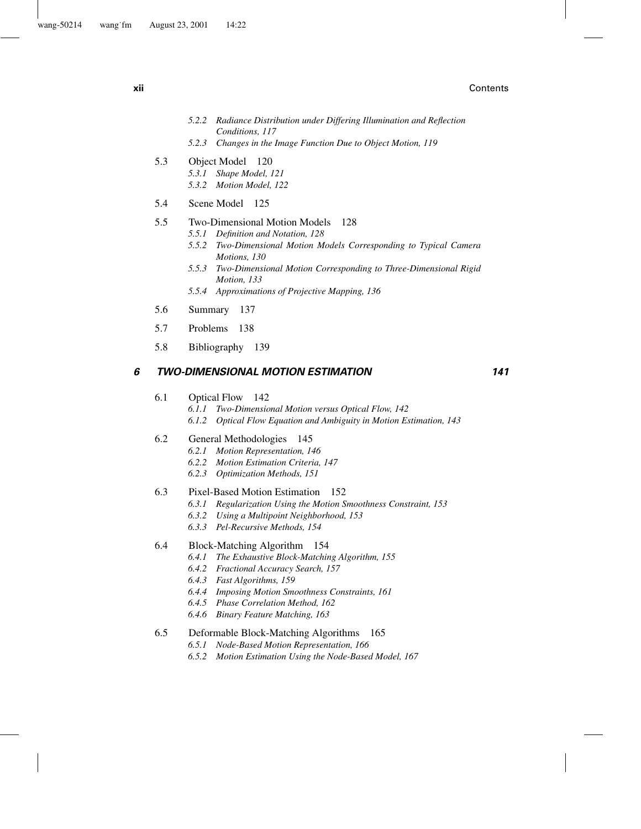**xii** Contents

- *5.2.2 Radiance Distribution under Differing Illumination and Reflection Conditions, 117*
- *5.2.3 Changes in the Image Function Due to Object Motion, 119*
- 5.3 Object Model 120
	- *5.3.1 Shape Model, 121*
	- *5.3.2 Motion Model, 122*
- 5.4 Scene Model 125

### 5.5 Two-Dimensional Motion Models 128

- *5.5.1 Definition and Notation, 128*
	- *5.5.2 Two-Dimensional Motion Models Corresponding to Typical Camera Motions, 130*
	- *5.5.3 Two-Dimensional Motion Corresponding to Three-Dimensional Rigid Motion, 133*
	- *5.5.4 Approximations of Projective Mapping, 136*
- 5.6 Summary 137
- 5.7 Problems 138
- 5.8 Bibliography 139

#### *6 TWO-DIMENSIONAL MOTION ESTIMATION 141*

- 6.1 Optical Flow 142
	- *6.1.1 Two-Dimensional Motion versus Optical Flow, 142 6.1.2 Optical Flow Equation and Ambiguity in Motion Estimation, 143*

#### 6.2 General Methodologies 145

- *6.2.1 Motion Representation, 146*
- *6.2.2 Motion Estimation Criteria, 147*
- *6.2.3 Optimization Methods, 151*

#### 6.3 Pixel-Based Motion Estimation 152

- *6.3.1 Regularization Using the Motion Smoothness Constraint, 153*
- *6.3.2 Using a Multipoint Neighborhood, 153*
- *6.3.3 Pel-Recursive Methods, 154*

#### 6.4 Block-Matching Algorithm 154

- *6.4.1 The Exhaustive Block-Matching Algorithm, 155*
- *6.4.2 Fractional Accuracy Search, 157*
- *6.4.3 Fast Algorithms, 159*
- *6.4.4 Imposing Motion Smoothness Constraints, 161*
- *6.4.5 Phase Correlation Method, 162*
- *6.4.6 Binary Feature Matching, 163*

#### 6.5 Deformable Block-Matching Algorithms 165

- *6.5.1 Node-Based Motion Representation, 166*
- *6.5.2 Motion Estimation Using the Node-Based Model, 167*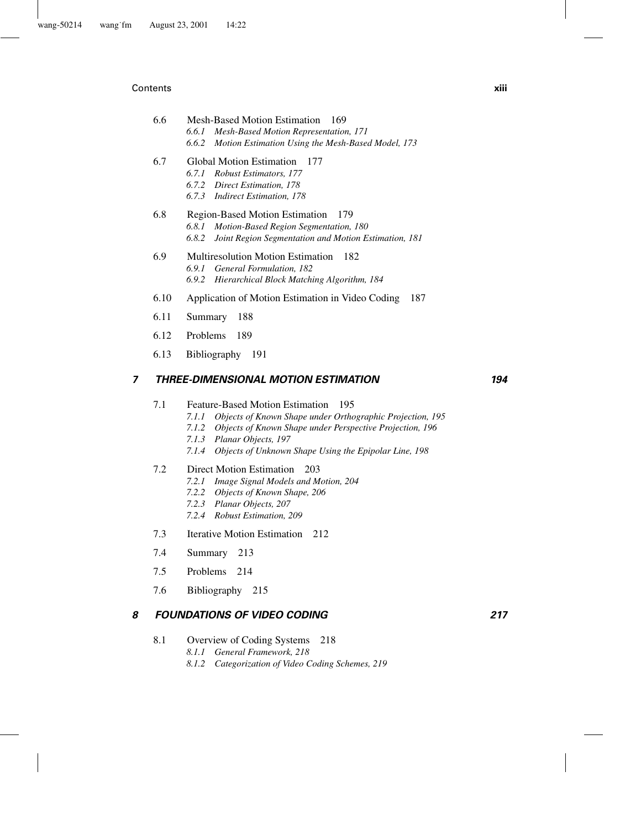#### Contents **xiii**

# 6.6 Mesh-Based Motion Estimation 169 *6.6.1 Mesh-Based Motion Representation, 171 6.6.2 Motion Estimation Using the Mesh-Based Model, 173*

#### 6.7 Global Motion Estimation 177

- *6.7.1 Robust Estimators, 177*
- *6.7.2 Direct Estimation, 178*
- *6.7.3 Indirect Estimation, 178*

# 6.8 Region-Based Motion Estimation 179 *6.8.1 Motion-Based Region Segmentation, 180 6.8.2 Joint Region Segmentation and Motion Estimation, 181*

- 6.9 Multiresolution Motion Estimation 182 *6.9.1 General Formulation, 182 6.9.2 Hierarchical Block Matching Algorithm, 184*
- 6.10 Application of Motion Estimation in Video Coding 187
- 6.11 Summary 188
- 6.12 Problems 189
- 6.13 Bibliography 191

# *7 THREE-DIMENSIONAL MOTION ESTIMATION 194*

#### 7.1 Feature-Based Motion Estimation 195

- *7.1.1 Objects of Known Shape under Orthographic Projection, 195*
- *7.1.2 Objects of Known Shape under Perspective Projection, 196*
- *7.1.3 Planar Objects, 197*
- *7.1.4 Objects of Unknown Shape Using the Epipolar Line, 198*

#### 7.2 Direct Motion Estimation 203

- *7.2.1 Image Signal Models and Motion, 204*
- *7.2.2 Objects of Known Shape, 206*
- *7.2.3 Planar Objects, 207*
- *7.2.4 Robust Estimation, 209*
- 7.3 Iterative Motion Estimation 212
- 7.4 Summary 213
- 7.5 Problems 214
- 7.6 Bibliography 215

#### *8 FOUNDATIONS OF VIDEO CODING 217*

- 8.1 Overview of Coding Systems 218
	- *8.1.1 General Framework, 218*
	- *8.1.2 Categorization of Video Coding Schemes, 219*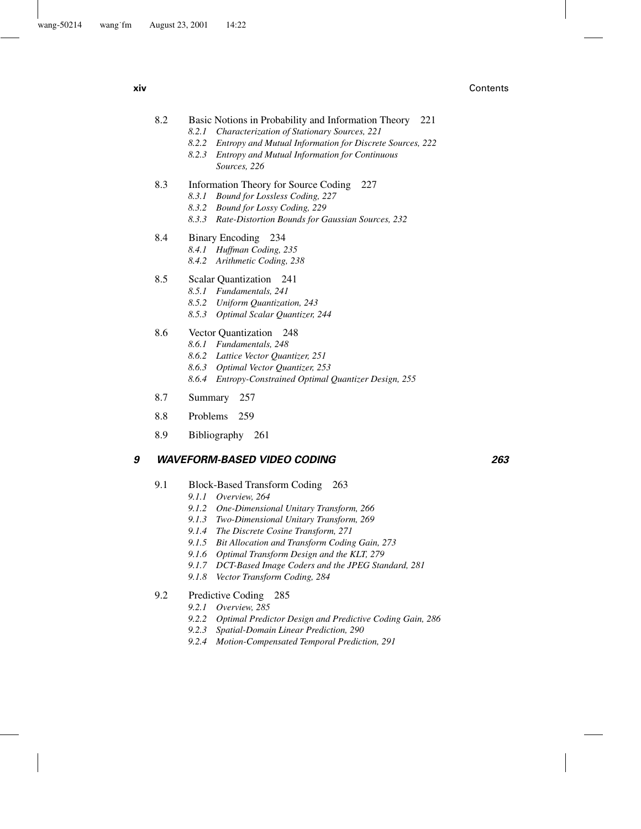**xiv** Contents

- 8.2 Basic Notions in Probability and Information Theory 221
	- *8.2.1 Characterization of Stationary Sources, 221*
	- *8.2.2 Entropy and Mutual Information for Discrete Sources, 222*
	- *8.2.3 Entropy and Mutual Information for Continuous Sources, 226*
- 8.3 Information Theory for Source Coding 227
	- *8.3.1 Bound for Lossless Coding, 227*
	- *8.3.2 Bound for Lossy Coding, 229*
	- *8.3.3 Rate-Distortion Bounds for Gaussian Sources, 232*
- 8.4 Binary Encoding 234
	- *8.4.1 Huffman Coding, 235*
	- *8.4.2 Arithmetic Coding, 238*
- 8.5 Scalar Quantization 241
	- *8.5.1 Fundamentals, 241*
	- *8.5.2 Uniform Quantization, 243*
	- *8.5.3 Optimal Scalar Quantizer, 244*
- 8.6 Vector Quantization 248
	- *8.6.1 Fundamentals, 248*
	- *8.6.2 Lattice Vector Quantizer, 251*
	- *8.6.3 Optimal Vector Quantizer, 253*
	- *8.6.4 Entropy-Constrained Optimal Quantizer Design, 255*
- 8.7 Summary 257
- 8.8 Problems 259
- 8.9 Bibliography 261

# *9 WAVEFORM-BASED VIDEO CODING 263*

- 9.1 Block-Based Transform Coding 263
	- *9.1.1 Overview, 264*
	- *9.1.2 One-Dimensional Unitary Transform, 266*
	- *9.1.3 Two-Dimensional Unitary Transform, 269*
	- *9.1.4 The Discrete Cosine Transform, 271*
	- *9.1.5 Bit Allocation and Transform Coding Gain, 273*
	- *9.1.6 Optimal Transform Design and the KLT, 279*
	- *9.1.7 DCT-Based Image Coders and the JPEG Standard, 281*
	- *9.1.8 Vector Transform Coding, 284*
- 9.2 Predictive Coding 285
	- *9.2.1 Overview, 285*
	- *9.2.2 Optimal Predictor Design and Predictive Coding Gain, 286*
	- *9.2.3 Spatial-Domain Linear Prediction, 290*
	- *9.2.4 Motion-Compensated Temporal Prediction, 291*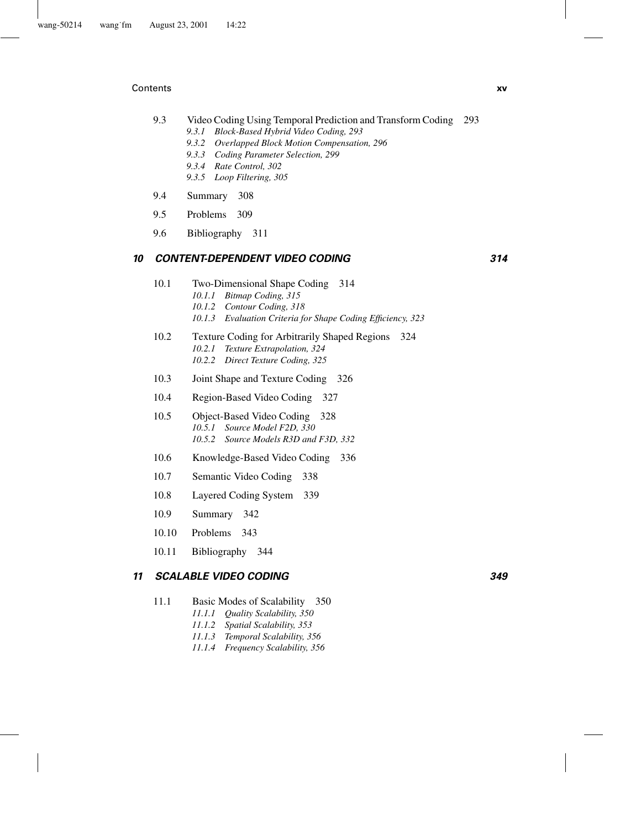#### Contents **xv**

- 9.3 Video Coding Using Temporal Prediction and Transform Coding 293 *9.3.1 Block-Based Hybrid Video Coding, 293*
	- *9.3.2 Overlapped Block Motion Compensation, 296*
	- *9.3.3 Coding Parameter Selection, 299*
	- *9.3.4 Rate Control, 302*
	- *9.3.5 Loop Filtering, 305*
- 9.4 Summary 308
- 9.5 Problems 309
- 9.6 Bibliography 311

# *10 CONTENT-DEPENDENT VIDEO CODING 314*

- 10.1 Two-Dimensional Shape Coding 314 *10.1.1 Bitmap Coding, 315 10.1.2 Contour Coding, 318 10.1.3 Evaluation Criteria for Shape Coding Efficiency, 323*
- 10.2 Texture Coding for Arbitrarily Shaped Regions 324 *10.2.1 Texture Extrapolation, 324 10.2.2 Direct Texture Coding, 325*
- 10.3 Joint Shape and Texture Coding 326
- 10.4 Region-Based Video Coding 327
- 10.5 Object-Based Video Coding 328 *10.5.1 Source Model F2D, 330 10.5.2 Source Models R3D and F3D, 332*
- 10.6 Knowledge-Based Video Coding 336
- 10.7 Semantic Video Coding 338
- 10.8 Layered Coding System 339
- 10.9 Summary 342
- 10.10 Problems 343
- 10.11 Bibliography 344

# *11 SCALABLE VIDEO CODING 349*

- 11.1 Basic Modes of Scalability 350
	- *11.1.1 Quality Scalability, 350*
	- *11.1.2 Spatial Scalability, 353*
	- *11.1.3 Temporal Scalability, 356*
	- *11.1.4 Frequency Scalability, 356*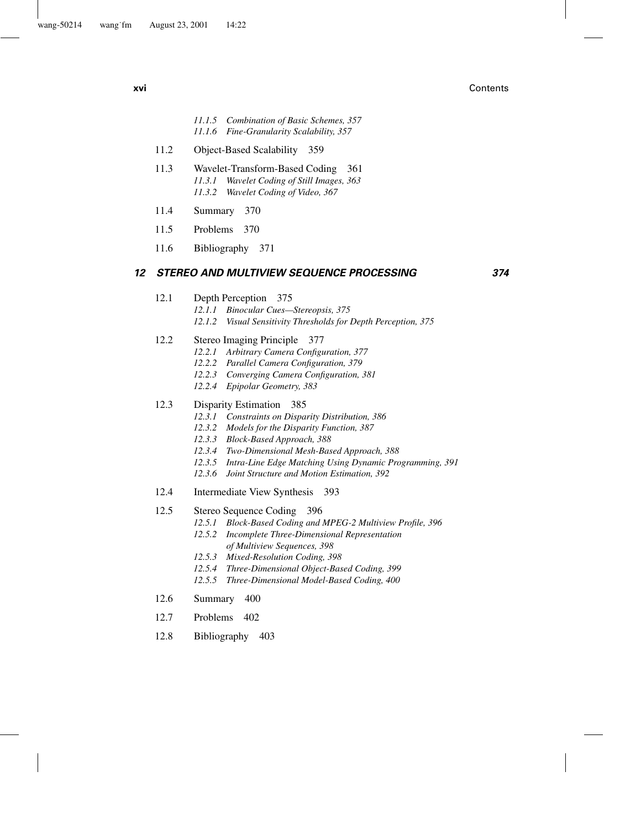**xvi** Contents

- *11.1.5 Combination of Basic Schemes, 357 11.1.6 Fine-Granularity Scalability, 357*
- 11.2 Object-Based Scalability 359
- 11.3 Wavelet-Transform-Based Coding 361 *11.3.1 Wavelet Coding of Still Images, 363 11.3.2 Wavelet Coding of Video, 367*
- 11.4 Summary 370
- 11.5 Problems 370
- 11.6 Bibliography 371

#### *12 STEREO AND MULTIVIEW SEQUENCE PROCESSING 374*

- 12.1 Depth Perception 375
	- *12.1.1 Binocular Cues—Stereopsis, 375*
	- *12.1.2 Visual Sensitivity Thresholds for Depth Perception, 375*
- 12.2 Stereo Imaging Principle 377
	- *12.2.1 Arbitrary Camera Configuration, 377*
	- *12.2.2 Parallel Camera Configuration, 379*
	- *12.2.3 Converging Camera Configuration, 381*
	- *12.2.4 Epipolar Geometry, 383*

#### 12.3 Disparity Estimation 385

- *12.3.1 Constraints on Disparity Distribution, 386*
- *12.3.2 Models for the Disparity Function, 387*
- *12.3.3 Block-Based Approach, 388*
- *12.3.4 Two-Dimensional Mesh-Based Approach, 388*
- *12.3.5 Intra-Line Edge Matching Using Dynamic Programming, 391*
- *12.3.6 Joint Structure and Motion Estimation, 392*
- 12.4 Intermediate View Synthesis 393

#### 12.5 Stereo Sequence Coding 396

- *12.5.1 Block-Based Coding and MPEG-2 Multiview Profile, 396*
- *12.5.2 Incomplete Three-Dimensional Representation of Multiview Sequences, 398*
- *12.5.3 Mixed-Resolution Coding, 398*
- *12.5.4 Three-Dimensional Object-Based Coding, 399*
- *12.5.5 Three-Dimensional Model-Based Coding, 400*
- 12.6 Summary 400
- 12.7 Problems 402
- 12.8 Bibliography 403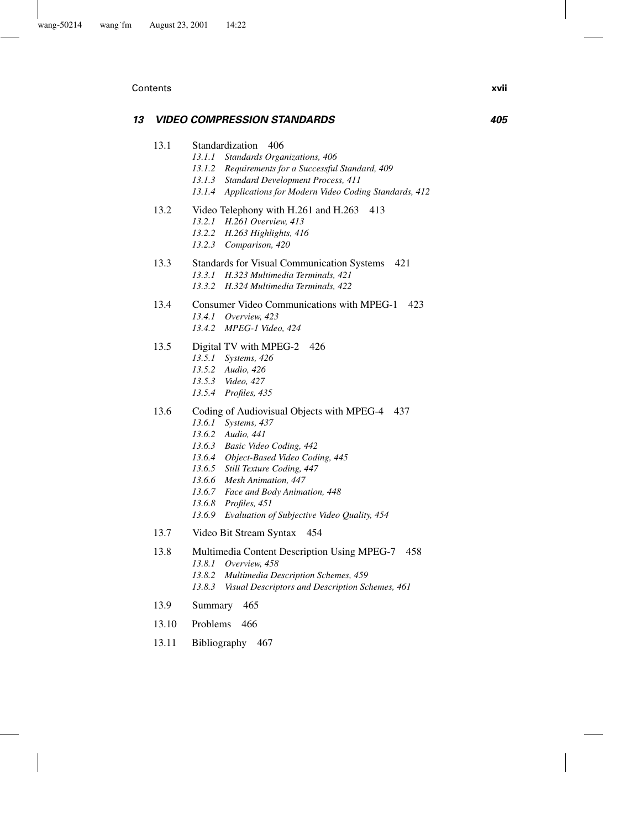#### Contents **xvii**

# *13 VIDEO COMPRESSION STANDARDS 405*

- 13.1 Standardization 406
	- *13.1.1 Standards Organizations, 406*
	- *13.1.2 Requirements for a Successful Standard, 409*
	- *13.1.3 Standard Development Process, 411*
	- *13.1.4 Applications for Modern Video Coding Standards, 412*
- 13.2 Video Telephony with H.261 and H.263 413 *13.2.1 H.261 Overview, 413*
	- *13.2.2 H.263 Highlights, 416*
	- *13.2.3 Comparison, 420*
- 13.3 Standards for Visual Communication Systems 421 *13.3.1 H.323 Multimedia Terminals, 421 13.3.2 H.324 Multimedia Terminals, 422*
- 13.4 Consumer Video Communications with MPEG-1 423 *13.4.1 Overview, 423 13.4.2 MPEG-1 Video, 424*

# 13.5 Digital TV with MPEG-2 426

- *13.5.1 Systems, 426*
- *13.5.2 Audio, 426*
- *13.5.3 Video, 427*
- *13.5.4 Profiles, 435*
- 13.6 Coding of Audiovisual Objects with MPEG-4 437
	- *13.6.1 Systems, 437*
	- *13.6.2 Audio, 441*
	- *13.6.3 Basic Video Coding, 442*
	- *13.6.4 Object-Based Video Coding, 445*
	- *13.6.5 Still Texture Coding, 447*
	- *13.6.6 Mesh Animation, 447*
	- *13.6.7 Face and Body Animation, 448*
	- *13.6.8 Profiles, 451*
	- *13.6.9 Evaluation of Subjective Video Quality, 454*
- 13.7 Video Bit Stream Syntax 454
- 13.8 Multimedia Content Description Using MPEG-7 458 *13.8.1 Overview, 458 13.8.2 Multimedia Description Schemes, 459*
	- *13.8.3 Visual Descriptors and Description Schemes, 461*
- 13.9 Summary 465
- 13.10 Problems 466
- 13.11 Bibliography 467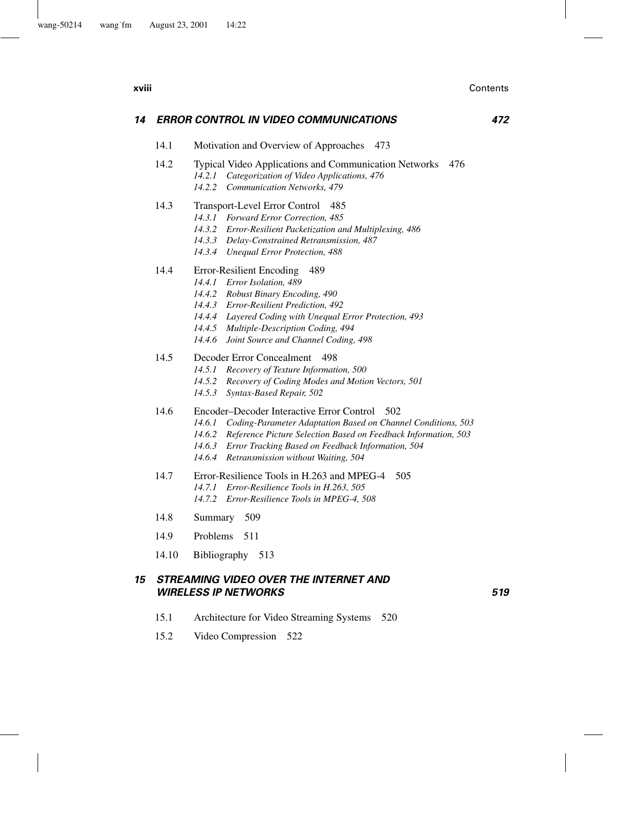| xviii |       | Contents                                                                                                                                                                                                                                                                                                      |
|-------|-------|---------------------------------------------------------------------------------------------------------------------------------------------------------------------------------------------------------------------------------------------------------------------------------------------------------------|
| 14    |       | <b>ERROR CONTROL IN VIDEO COMMUNICATIONS</b><br>472                                                                                                                                                                                                                                                           |
|       | 14.1  | Motivation and Overview of Approaches<br>- 473                                                                                                                                                                                                                                                                |
|       | 14.2  | Typical Video Applications and Communication Networks<br>476<br>Categorization of Video Applications, 476<br>14.2.1<br>14.2.2<br><b>Communication Networks, 479</b>                                                                                                                                           |
|       | 14.3  | Transport-Level Error Control<br>485<br>14.3.1 Forward Error Correction, 485<br>14.3.2 Error-Resilient Packetization and Multiplexing, 486<br>14.3.3 Delay-Constrained Retransmission, 487<br>14.3.4 Unequal Error Protection, 488                                                                            |
|       | 14.4  | Error-Resilient Encoding<br>489<br>14.4.1 Error Isolation, 489<br>14.4.2 Robust Binary Encoding, 490<br>14.4.3 Error-Resilient Prediction, 492<br>14.4.4 Layered Coding with Unequal Error Protection, 493<br>14.4.5 Multiple-Description Coding, 494<br>14.4.6<br>Joint Source and Channel Coding, 498       |
|       | 14.5  | Decoder Error Concealment<br>498<br>14.5.1 Recovery of Texture Information, 500<br>14.5.2<br>Recovery of Coding Modes and Motion Vectors, 501<br>14.5.3<br>Syntax-Based Repair, 502                                                                                                                           |
|       | 14.6  | Encoder–Decoder Interactive Error Control<br>502<br>14.6.1 Coding-Parameter Adaptation Based on Channel Conditions, 503<br>14.6.2<br>Reference Picture Selection Based on Feedback Information, 503<br>14.6.3 Error Tracking Based on Feedback Information, 504<br>14.6.4 Retransmission without Waiting, 504 |
|       | 14.7  | Error-Resilience Tools in H.263 and MPEG-4<br>505<br>Error-Resilience Tools in H.263, 505<br>14.7.1<br>14.7.2<br>Error-Resilience Tools in MPEG-4, 508                                                                                                                                                        |
|       | 14.8  | 509<br>Summary                                                                                                                                                                                                                                                                                                |
|       | 14.9  | <b>Problems</b><br>- 511                                                                                                                                                                                                                                                                                      |
|       | 14.10 | Bibliography<br>513                                                                                                                                                                                                                                                                                           |

# *15 STREAMING VIDEO OVER THE INTERNET AND WIRELESS IP NETWORKS 519*

- 15.1 Architecture for Video Streaming Systems 520
- 15.2 Video Compression 522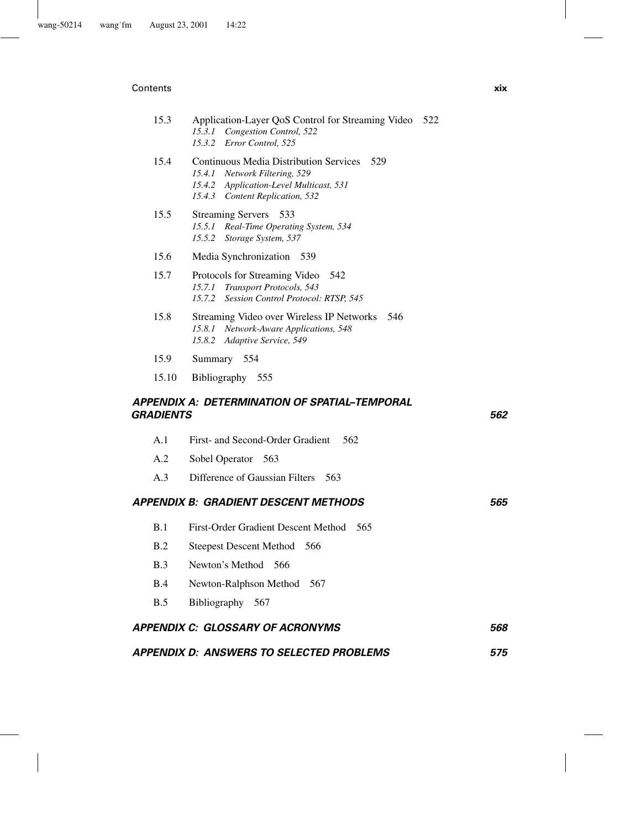#### Contents **xix**

| 15.3                    | Application-Layer QoS Control for Streaming Video 522<br>15.3.1<br>Congestion Control, 522<br>15.3.2<br>Error Control, 525                                          |     |
|-------------------------|---------------------------------------------------------------------------------------------------------------------------------------------------------------------|-----|
| 15.4                    | <b>Continuous Media Distribution Services</b><br>529<br>15.4.1 Network Filtering, 529<br>15.4.2 Application-Level Multicast, 531<br>15.4.3 Content Replication, 532 |     |
| 15.5                    | <b>Streaming Servers</b><br>533<br>15.5.1 Real-Time Operating System, 534<br>15.5.2<br>Storage System, 537                                                          |     |
| 15.6                    | Media Synchronization<br>- 539                                                                                                                                      |     |
| 15.7                    | Protocols for Streaming Video<br>542<br>15.7.1<br>Transport Protocols, 543<br>15.7.2<br>Session Control Protocol: RTSP, 545                                         |     |
| 15.8                    | Streaming Video over Wireless IP Networks 546<br>Network-Aware Applications, 548<br>15.8.1<br>15.8.2<br>Adaptive Service, 549                                       |     |
| 15.9                    | 554<br>Summary                                                                                                                                                      |     |
| 15.10                   | Bibliography 555                                                                                                                                                    |     |
| <i><b>GRADIENTS</b></i> | APPENDIX A: DETERMINATION OF SPATIAL-TEMPORAL                                                                                                                       | 562 |
| A.1                     | First- and Second-Order Gradient<br>562                                                                                                                             |     |
| A.2                     | Sobel Operator<br>563                                                                                                                                               |     |
| A.3                     | Difference of Gaussian Filters<br>- 563                                                                                                                             |     |
|                         | APPENDIX B: GRADIENT DESCENT METHODS                                                                                                                                | 565 |
| B.1                     | First-Order Gradient Descent Method<br>565                                                                                                                          |     |
| B.2                     | <b>Steepest Descent Method</b><br>566                                                                                                                               |     |
| B.3                     | Newton's Method 566                                                                                                                                                 |     |
| B.4                     | Newton-Ralphson Method<br>567                                                                                                                                       |     |
| B.5                     | Bibliography 567                                                                                                                                                    |     |
|                         | <b>APPENDIX C: GLOSSARY OF ACRONYMS</b>                                                                                                                             | 568 |

# *APPENDIX D: ANSWERS TO SELECTED PROBLEMS 575*